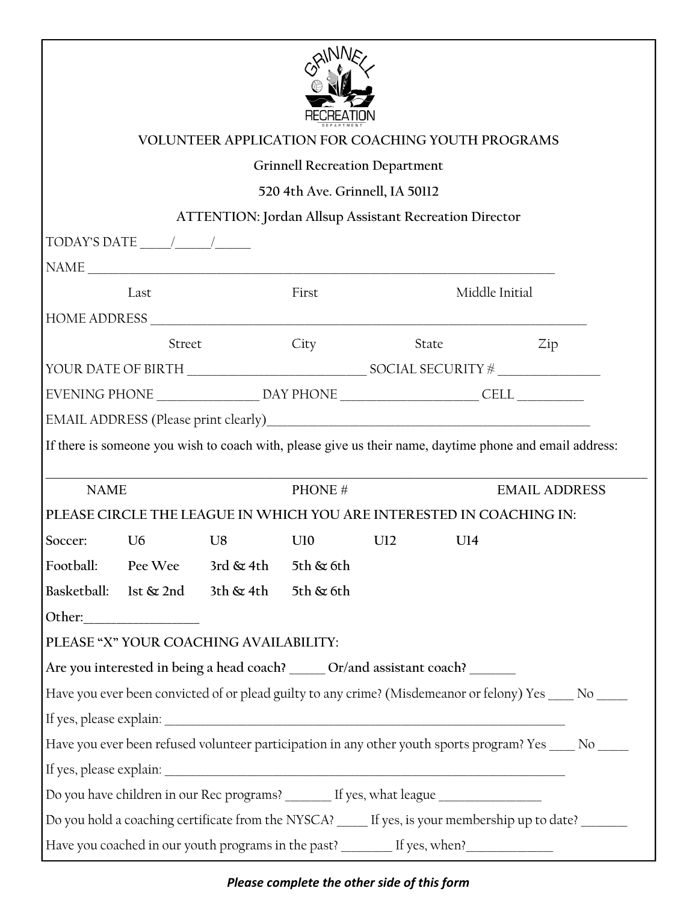|             |        | <b>VOLUNTEER APPLICATION FOR COACHING YOUTH PROGRAMS</b>                                                 |                                       |                |  |                      |  |
|-------------|--------|----------------------------------------------------------------------------------------------------------|---------------------------------------|----------------|--|----------------------|--|
|             |        |                                                                                                          | <b>Grinnell Recreation Department</b> |                |  |                      |  |
|             |        |                                                                                                          | 520 4th Ave. Grinnell, IA 50112       |                |  |                      |  |
|             |        | <b>ATTENTION: Jordan Allsup Assistant Recreation Director</b>                                            |                                       |                |  |                      |  |
|             |        |                                                                                                          |                                       |                |  |                      |  |
|             |        |                                                                                                          |                                       |                |  |                      |  |
|             | Last   |                                                                                                          | First                                 | Middle Initial |  |                      |  |
|             |        |                                                                                                          |                                       |                |  |                      |  |
|             | Street |                                                                                                          | City                                  | State          |  | Zip                  |  |
|             |        |                                                                                                          |                                       |                |  |                      |  |
|             |        |                                                                                                          |                                       |                |  |                      |  |
|             |        |                                                                                                          |                                       |                |  |                      |  |
|             |        |                                                                                                          |                                       |                |  |                      |  |
| <b>NAME</b> |        | If there is someone you wish to coach with, please give us their name, daytime phone and email address:  | PHONE#                                |                |  | <b>EMAIL ADDRESS</b> |  |
|             |        | PLEASE CIRCLE THE LEAGUE IN WHICH YOU ARE INTERESTED IN COACHING IN:                                     |                                       |                |  |                      |  |
|             |        | Soccer: U6 U8 U10 U12 U14                                                                                |                                       |                |  |                      |  |
|             |        | Football: Pee Wee 3rd & 4th 5th & 6th                                                                    |                                       |                |  |                      |  |
|             |        | Basketball: 1st & 2nd 3th & 4th 5th & 6th                                                                |                                       |                |  |                      |  |
|             |        |                                                                                                          |                                       |                |  |                      |  |
|             |        | PLEASE "X" YOUR COACHING AVAILABILITY:                                                                   |                                       |                |  |                      |  |
|             |        | Are you interested in being a head coach? ______ Or/and assistant coach? _______                         |                                       |                |  |                      |  |
|             |        | Have you ever been convicted of or plead guilty to any crime? (Misdemeanor or felony) Yes ____ No _____  |                                       |                |  |                      |  |
|             |        | Have you ever been refused volunteer participation in any other youth sports program? Yes _____ No _____ |                                       |                |  |                      |  |
|             |        |                                                                                                          |                                       |                |  |                      |  |

## *Please complete the other side of this form*